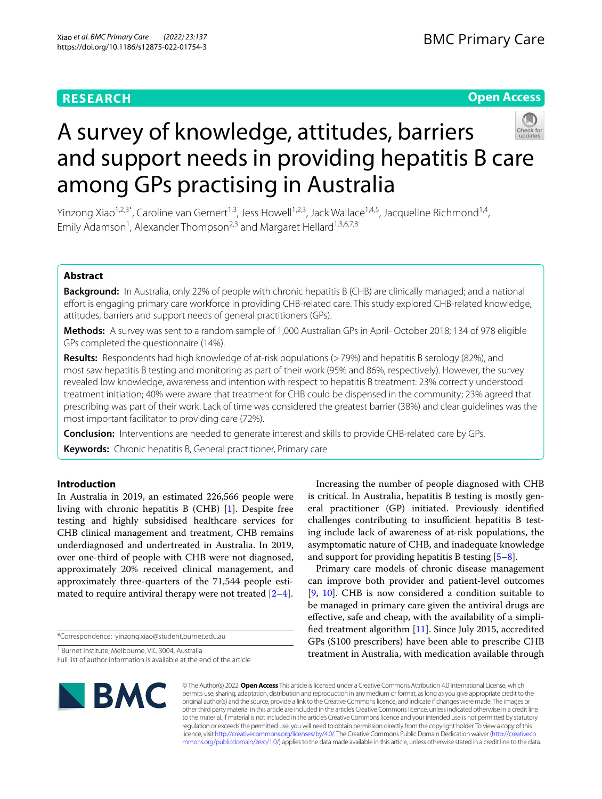# **RESEARCH**

# **Open Access**



# A survey of knowledge, attitudes, barriers and support needs in providing hepatitis B care among GPs practising in Australia

Yinzong Xiao<sup>1,2,3\*</sup>, Caroline van Gemert<sup>1,3</sup>, Jess Howell<sup>1,2,3</sup>, Jack Wallace<sup>1,4,5</sup>, Jacqueline Richmond<sup>1,4</sup>, Emily Adamson<sup>1</sup>, Alexander Thompson<sup>2,3</sup> and Margaret Hellard<sup>1,3,6,7,8</sup>

# **Abstract**

**Background:** In Australia, only 22% of people with chronic hepatitis B (CHB) are clinically managed; and a national effort is engaging primary care workforce in providing CHB-related care. This study explored CHB-related knowledge, attitudes, barriers and support needs of general practitioners (GPs).

**Methods:** A survey was sent to a random sample of 1,000 Australian GPs in April- October 2018; 134 of 978 eligible GPs completed the questionnaire (14%).

Results: Respondents had high knowledge of at-risk populations (>79%) and hepatitis B serology (82%), and most saw hepatitis B testing and monitoring as part of their work (95% and 86%, respectively). However, the survey revealed low knowledge, awareness and intention with respect to hepatitis B treatment: 23% correctly understood treatment initiation; 40% were aware that treatment for CHB could be dispensed in the community; 23% agreed that prescribing was part of their work. Lack of time was considered the greatest barrier (38%) and clear guidelines was the most important facilitator to providing care (72%).

**Conclusion:** Interventions are needed to generate interest and skills to provide CHB-related care by GPs.

**Keywords:** Chronic hepatitis B, General practitioner, Primary care

# **Introduction**

In Australia in 2019, an estimated 226,566 people were living with chronic hepatitis B (CHB) [[1\]](#page-7-0). Despite free testing and highly subsidised healthcare services for CHB clinical management and treatment, CHB remains underdiagnosed and undertreated in Australia. In 2019, over one-third of people with CHB were not diagnosed, approximately 20% received clinical management, and approximately three-quarters of the 71,544 people estimated to require antiviral therapy were not treated  $[2-4]$  $[2-4]$ .

\*Correspondence: yinzong.xiao@student.burnet.edu.au

1 Burnet Institute, Melbourne, VIC 3004, Australia

Full list of author information is available at the end of the article

Increasing the number of people diagnosed with CHB is critical. In Australia, hepatitis B testing is mostly general practitioner (GP) initiated. Previously identifed challenges contributing to insufficient hepatitis B testing include lack of awareness of at-risk populations, the asymptomatic nature of CHB, and inadequate knowledge and support for providing hepatitis B testing [\[5](#page-7-3)[–8](#page-7-4)].

Primary care models of chronic disease management can improve both provider and patient-level outcomes [[9,](#page-7-5) [10\]](#page-7-6). CHB is now considered a condition suitable to be managed in primary care given the antiviral drugs are efective, safe and cheap, with the availability of a simplifed treatment algorithm [\[11](#page-7-7)]. Since July 2015, accredited GPs (S100 prescribers) have been able to prescribe CHB treatment in Australia, with medication available through



© The Author(s) 2022. **Open Access** This article is licensed under a Creative Commons Attribution 4.0 International License, which permits use, sharing, adaptation, distribution and reproduction in any medium or format, as long as you give appropriate credit to the original author(s) and the source, provide a link to the Creative Commons licence, and indicate if changes were made. The images or other third party material in this article are included in the article's Creative Commons licence, unless indicated otherwise in a credit line to the material. If material is not included in the article's Creative Commons licence and your intended use is not permitted by statutory regulation or exceeds the permitted use, you will need to obtain permission directly from the copyright holder. To view a copy of this licence, visit [http://creativecommons.org/licenses/by/4.0/.](http://creativecommons.org/licenses/by/4.0/) The Creative Commons Public Domain Dedication waiver ([http://creativeco](http://creativecommons.org/publicdomain/zero/1.0/) [mmons.org/publicdomain/zero/1.0/](http://creativecommons.org/publicdomain/zero/1.0/)) applies to the data made available in this article, unless otherwise stated in a credit line to the data.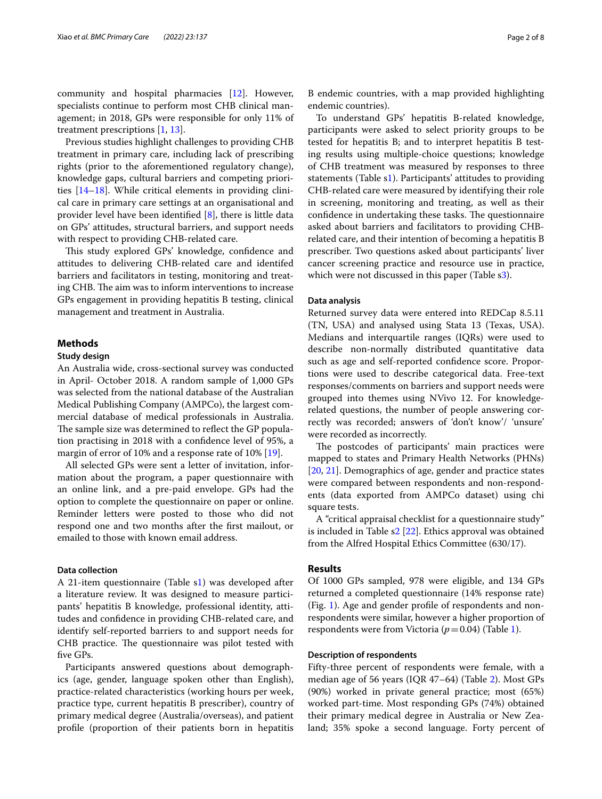community and hospital pharmacies [[12\]](#page-7-8). However, specialists continue to perform most CHB clinical management; in 2018, GPs were responsible for only 11% of treatment prescriptions [[1,](#page-7-0) [13](#page-7-9)].

Previous studies highlight challenges to providing CHB treatment in primary care, including lack of prescribing rights (prior to the aforementioned regulatory change), knowledge gaps, cultural barriers and competing priorities [[14–](#page-7-10)[18](#page-7-11)]. While critical elements in providing clinical care in primary care settings at an organisational and provider level have been identifed [\[8](#page-7-4)], there is little data on GPs' attitudes, structural barriers, and support needs with respect to providing CHB-related care.

This study explored GPs' knowledge, confidence and attitudes to delivering CHB-related care and identifed barriers and facilitators in testing, monitoring and treating CHB. The aim was to inform interventions to increase GPs engagement in providing hepatitis B testing, clinical management and treatment in Australia.

# **Methods**

# **Study design**

An Australia wide, cross-sectional survey was conducted in April- October 2018. A random sample of 1,000 GPs was selected from the national database of the Australian Medical Publishing Company (AMPCo), the largest commercial database of medical professionals in Australia. The sample size was determined to reflect the GP population practising in 2018 with a confdence level of 95%, a margin of error of 10% and a response rate of 10% [[19\]](#page-7-12).

All selected GPs were sent a letter of invitation, information about the program, a paper questionnaire with an online link, and a pre-paid envelope. GPs had the option to complete the questionnaire on paper or online. Reminder letters were posted to those who did not respond one and two months after the frst mailout, or emailed to those with known email address.

## **Data collection**

A 21-item questionnaire (Table [s1](#page-6-0)) was developed after a literature review. It was designed to measure participants' hepatitis B knowledge, professional identity, attitudes and confdence in providing CHB-related care, and identify self-reported barriers to and support needs for CHB practice. The questionnaire was pilot tested with fve GPs.

Participants answered questions about demographics (age, gender, language spoken other than English), practice-related characteristics (working hours per week, practice type, current hepatitis B prescriber), country of primary medical degree (Australia/overseas), and patient profle (proportion of their patients born in hepatitis

B endemic countries, with a map provided highlighting endemic countries).

To understand GPs' hepatitis B-related knowledge, participants were asked to select priority groups to be tested for hepatitis B; and to interpret hepatitis B testing results using multiple-choice questions; knowledge of CHB treatment was measured by responses to three statements (Table s[1](#page-6-0)). Participants' attitudes to providing CHB-related care were measured by identifying their role in screening, monitoring and treating, as well as their confidence in undertaking these tasks. The questionnaire asked about barriers and facilitators to providing CHBrelated care, and their intention of becoming a hepatitis B prescriber. Two questions asked about participants' liver cancer screening practice and resource use in practice, which were not discussed in this paper (Table [s3](#page-6-0)).

## **Data analysis**

Returned survey data were entered into REDCap 8.5.11 (TN, USA) and analysed using Stata 13 (Texas, USA). Medians and interquartile ranges (IQRs) were used to describe non-normally distributed quantitative data such as age and self-reported confdence score. Proportions were used to describe categorical data. Free-text responses/comments on barriers and support needs were grouped into themes using NVivo 12. For knowledgerelated questions, the number of people answering correctly was recorded; answers of 'don't know'/ 'unsure' were recorded as incorrectly.

The postcodes of participants' main practices were mapped to states and Primary Health Networks (PHNs) [[20,](#page-7-13) [21](#page-7-14)]. Demographics of age, gender and practice states were compared between respondents and non-respondents (data exported from AMPCo dataset) using chi square tests.

A "critical appraisal checklist for a questionnaire study" is included in Table s[2](#page-6-0) [\[22](#page-7-15)]. Ethics approval was obtained from the Alfred Hospital Ethics Committee (630/17).

## **Results**

Of 1000 GPs sampled, 978 were eligible, and 134 GPs returned a completed questionnaire (14% response rate) (Fig. [1\)](#page-2-0). Age and gender profle of respondents and nonrespondents were similar, however a higher proportion of respondents were from Victoria ( $p=0.04$ ) (Table [1](#page-3-0)).

## **Description of respondents**

Fifty-three percent of respondents were female, with a median age of 56 years (IQR 47–64) (Table [2\)](#page-4-0). Most GPs (90%) worked in private general practice; most (65%) worked part-time. Most responding GPs (74%) obtained their primary medical degree in Australia or New Zealand; 35% spoke a second language. Forty percent of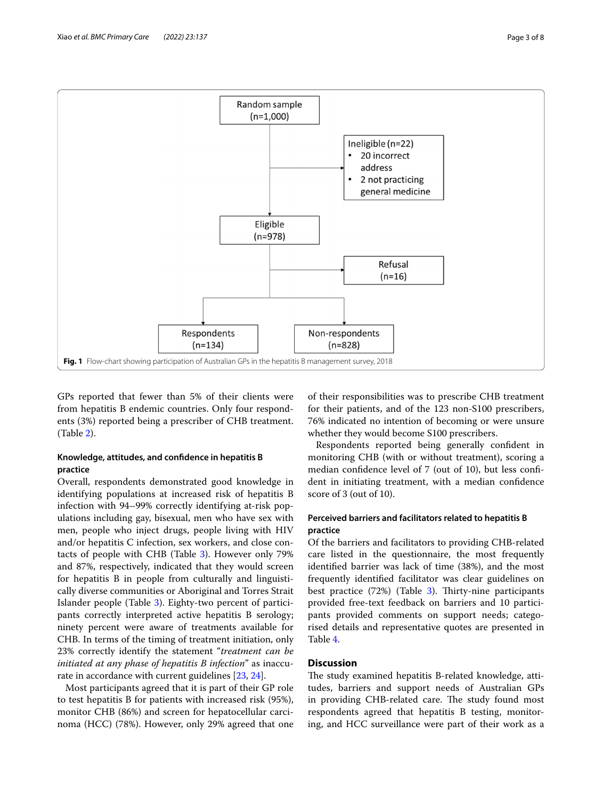

<span id="page-2-0"></span>GPs reported that fewer than 5% of their clients were from hepatitis B endemic countries. Only four respondents (3%) reported being a prescriber of CHB treatment. (Table [2](#page-4-0)).

# **Knowledge, attitudes, and confdence in hepatitis B practice**

Overall, respondents demonstrated good knowledge in identifying populations at increased risk of hepatitis B infection with 94–99% correctly identifying at-risk populations including gay, bisexual, men who have sex with men, people who inject drugs, people living with HIV and/or hepatitis C infection, sex workers, and close contacts of people with CHB (Table [3\)](#page-5-0). However only 79% and 87%, respectively, indicated that they would screen for hepatitis B in people from culturally and linguistically diverse communities or Aboriginal and Torres Strait Islander people (Table [3\)](#page-5-0). Eighty-two percent of participants correctly interpreted active hepatitis B serology; ninety percent were aware of treatments available for CHB. In terms of the timing of treatment initiation, only 23% correctly identify the statement "*treatment can be initiated at any phase of hepatitis B infection*" as inaccurate in accordance with current guidelines [[23,](#page-7-16) [24\]](#page-7-17).

Most participants agreed that it is part of their GP role to test hepatitis B for patients with increased risk (95%), monitor CHB (86%) and screen for hepatocellular carcinoma (HCC) (78%). However, only 29% agreed that one

of their responsibilities was to prescribe CHB treatment for their patients, and of the 123 non-S100 prescribers, 76% indicated no intention of becoming or were unsure whether they would become S100 prescribers.

Respondents reported being generally confdent in monitoring CHB (with or without treatment), scoring a median confdence level of 7 (out of 10), but less confdent in initiating treatment, with a median confdence score of 3 (out of 10).

# **Perceived barriers and facilitators related to hepatitis B practice**

Of the barriers and facilitators to providing CHB-related care listed in the questionnaire, the most frequently identifed barrier was lack of time (38%), and the most frequently identifed facilitator was clear guidelines on best practice  $(72%)$  (Table [3](#page-5-0)). Thirty-nine participants provided free-text feedback on barriers and 10 participants provided comments on support needs; categorised details and representative quotes are presented in Table [4](#page-6-1).

# **Discussion**

The study examined hepatitis B-related knowledge, attitudes, barriers and support needs of Australian GPs in providing CHB-related care. The study found most respondents agreed that hepatitis B testing, monitoring, and HCC surveillance were part of their work as a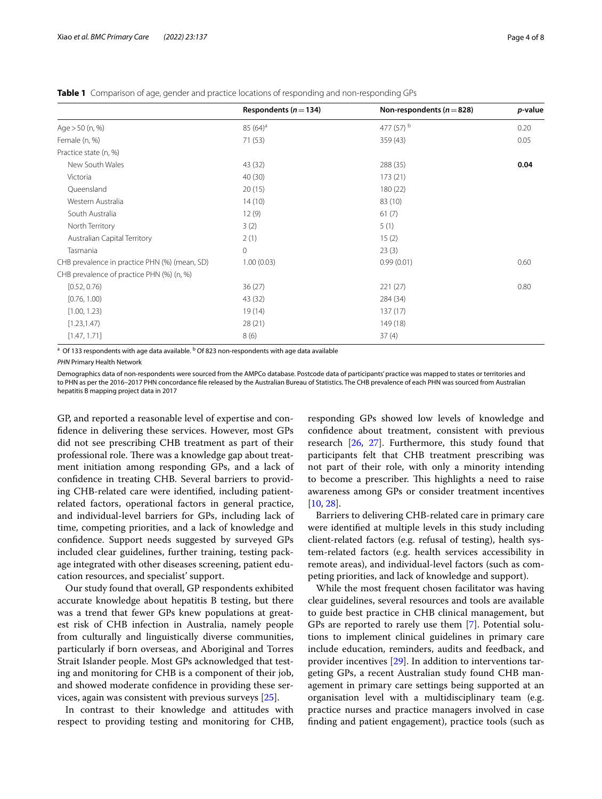|                                               | Respondents ( $n = 134$ ) | Non-respondents ( $n = 828$ ) | p-value |
|-----------------------------------------------|---------------------------|-------------------------------|---------|
| Age $> 50$ (n, %)                             | $85(64)^a$                | 477 (57) b                    | 0.20    |
| Female (n, %)                                 | 71 (53)                   | 359 (43)                      | 0.05    |
| Practice state (n, %)                         |                           |                               |         |
| New South Wales                               | 43 (32)                   | 288 (35)                      | 0.04    |
| Victoria                                      | 40 (30)                   | 173 (21)                      |         |
| Queensland                                    | 20(15)                    | 180 (22)                      |         |
| Western Australia                             | 14(10)                    | 83 (10)                       |         |
| South Australia                               | 12(9)                     | 61(7)                         |         |
| North Territory                               | 3(2)                      | 5(1)                          |         |
| Australian Capital Territory                  | 2(1)                      | 15(2)                         |         |
| Tasmania                                      | $\mathbf{0}$              | 23(3)                         |         |
| CHB prevalence in practice PHN (%) (mean, SD) | 1.00(0.03)                | 0.99(0.01)                    | 0.60    |
| CHB prevalence of practice PHN (%) (n, %)     |                           |                               |         |
| [0.52, 0.76]                                  | 36(27)                    | 221(27)                       | 0.80    |
| [0.76, 1.00)                                  | 43 (32)                   | 284 (34)                      |         |
| [1.00, 1.23]                                  | 19(14)                    | 137(17)                       |         |
| [1.23, 1.47]                                  | 28 (21)                   | 149 (18)                      |         |
| [1.47, 1.71]                                  | 8(6)                      | 37(4)                         |         |

<span id="page-3-0"></span>**Table 1** Comparison of age, gender and practice locations of responding and non-responding GPs

 $^{\rm a}$  Of 133 respondents with age data available.  $^{\rm b}$  Of 823 non-respondents with age data available

*PHN* Primary Health Network

Demographics data of non-respondents were sourced from the AMPCo database. Postcode data of participants' practice was mapped to states or territories and to PHN as per the 2016–2017 PHN concordance fle released by the Australian Bureau of Statistics. The CHB prevalence of each PHN was sourced from Australian hepatitis B mapping project data in 2017

GP, and reported a reasonable level of expertise and confdence in delivering these services. However, most GPs did not see prescribing CHB treatment as part of their professional role. There was a knowledge gap about treatment initiation among responding GPs, and a lack of confdence in treating CHB. Several barriers to providing CHB-related care were identifed, including patientrelated factors, operational factors in general practice, and individual-level barriers for GPs, including lack of time, competing priorities, and a lack of knowledge and confdence. Support needs suggested by surveyed GPs included clear guidelines, further training, testing package integrated with other diseases screening, patient education resources, and specialist' support.

Our study found that overall, GP respondents exhibited accurate knowledge about hepatitis B testing, but there was a trend that fewer GPs knew populations at greatest risk of CHB infection in Australia, namely people from culturally and linguistically diverse communities, particularly if born overseas, and Aboriginal and Torres Strait Islander people. Most GPs acknowledged that testing and monitoring for CHB is a component of their job, and showed moderate confdence in providing these services, again was consistent with previous surveys [\[25](#page-7-18)].

In contrast to their knowledge and attitudes with respect to providing testing and monitoring for CHB,

responding GPs showed low levels of knowledge and confdence about treatment, consistent with previous research  $[26, 27]$  $[26, 27]$  $[26, 27]$  $[26, 27]$ . Furthermore, this study found that participants felt that CHB treatment prescribing was not part of their role, with only a minority intending to become a prescriber. This highlights a need to raise awareness among GPs or consider treatment incentives [[10,](#page-7-6) [28](#page-7-21)].

Barriers to delivering CHB-related care in primary care were identifed at multiple levels in this study including client-related factors (e.g. refusal of testing), health system-related factors (e.g. health services accessibility in remote areas), and individual-level factors (such as competing priorities, and lack of knowledge and support).

While the most frequent chosen facilitator was having clear guidelines, several resources and tools are available to guide best practice in CHB clinical management, but GPs are reported to rarely use them [\[7](#page-7-22)]. Potential solutions to implement clinical guidelines in primary care include education, reminders, audits and feedback, and provider incentives [\[29](#page-7-23)]. In addition to interventions targeting GPs, a recent Australian study found CHB management in primary care settings being supported at an organisation level with a multidisciplinary team (e.g. practice nurses and practice managers involved in case fnding and patient engagement), practice tools (such as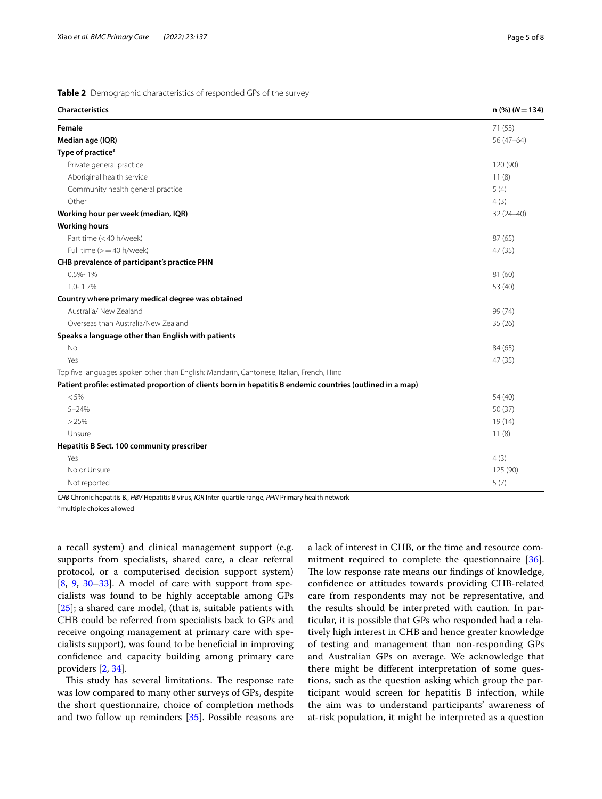# <span id="page-4-0"></span>**Table 2** Demographic characteristics of responded GPs of the survey

| Characteristics                                                                                            | $n$ (%) ( $N = 134$ ) |
|------------------------------------------------------------------------------------------------------------|-----------------------|
| Female                                                                                                     | 71 (53)               |
| Median age (IQR)                                                                                           | 56 (47-64)            |
| Type of practice <sup>a</sup>                                                                              |                       |
| Private general practice                                                                                   | 120 (90)              |
| Aboriginal health service                                                                                  | 11(8)                 |
| Community health general practice                                                                          | 5(4)                  |
| Other                                                                                                      | 4(3)                  |
| Working hour per week (median, IQR)                                                                        | $32(24 - 40)$         |
| <b>Working hours</b>                                                                                       |                       |
| Part time (<40 h/week)                                                                                     | 87 (65)               |
| Full time $(>=40 h/$ week)                                                                                 | 47 (35)               |
| CHB prevalence of participant's practice PHN                                                               |                       |
| $0.5% - 1%$                                                                                                | 81 (60)               |
| 1.0-1.7%                                                                                                   | 53 (40)               |
| Country where primary medical degree was obtained                                                          |                       |
| Australia/ New Zealand                                                                                     | 99 (74)               |
| Overseas than Australia/New Zealand                                                                        | 35(26)                |
| Speaks a language other than English with patients                                                         |                       |
| No                                                                                                         | 84 (65)               |
| Yes                                                                                                        | 47 (35)               |
| Top five languages spoken other than English: Mandarin, Cantonese, Italian, French, Hindi                  |                       |
| Patient profile: estimated proportion of clients born in hepatitis B endemic countries (outlined in a map) |                       |
| < 5%                                                                                                       | 54 (40)               |
| $5 - 24%$                                                                                                  | 50 (37)               |
| >25%                                                                                                       | 19(14)                |
| Unsure                                                                                                     | 11(8)                 |
| Hepatitis B Sect. 100 community prescriber                                                                 |                       |
| Yes                                                                                                        | 4(3)                  |
| No or Unsure                                                                                               | 125 (90)              |
| Not reported                                                                                               | 5(7)                  |

*CHB* Chronic hepatitis B., *HBV* Hepatitis B virus, *IQR* Inter-quartile range, *PHN* Primary health network

<sup>a</sup> multiple choices allowed

a recall system) and clinical management support (e.g. supports from specialists, shared care, a clear referral protocol, or a computerised decision support system) [[8,](#page-7-4) [9,](#page-7-5) [30–](#page-7-24)[33\]](#page-7-25). A model of care with support from specialists was found to be highly acceptable among GPs [[25\]](#page-7-18); a shared care model, (that is, suitable patients with CHB could be referred from specialists back to GPs and receive ongoing management at primary care with specialists support), was found to be benefcial in improving confdence and capacity building among primary care providers [[2,](#page-7-1) [34](#page-7-26)].

This study has several limitations. The response rate was low compared to many other surveys of GPs, despite the short questionnaire, choice of completion methods and two follow up reminders [[35\]](#page-7-27). Possible reasons are a lack of interest in CHB, or the time and resource commitment required to complete the questionnaire [\[36](#page-7-28)]. The low response rate means our findings of knowledge, confdence or attitudes towards providing CHB-related care from respondents may not be representative, and the results should be interpreted with caution. In particular, it is possible that GPs who responded had a relatively high interest in CHB and hence greater knowledge of testing and management than non-responding GPs and Australian GPs on average. We acknowledge that there might be diferent interpretation of some questions, such as the question asking which group the participant would screen for hepatitis B infection, while the aim was to understand participants' awareness of at-risk population, it might be interpreted as a question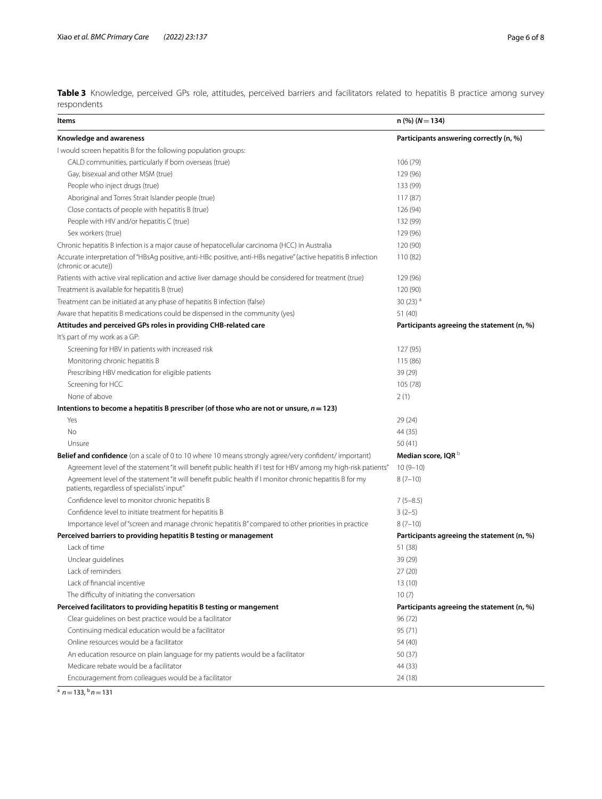<span id="page-5-0"></span>**Table 3** Knowledge, perceived GPs role, attitudes, perceived barriers and facilitators related to hepatitis B practice among survey respondents

| Items                                                                                                                                                  | $n$ (%) ( $N = 134$ )                      |
|--------------------------------------------------------------------------------------------------------------------------------------------------------|--------------------------------------------|
| Knowledge and awareness                                                                                                                                | Participants answering correctly (n, %)    |
| I would screen hepatitis B for the following population groups:                                                                                        |                                            |
| CALD communities, particularly if born overseas (true)                                                                                                 | 106 (79)                                   |
| Gay, bisexual and other MSM (true)                                                                                                                     | 129 (96)                                   |
| People who inject drugs (true)                                                                                                                         | 133 (99)                                   |
| Aboriginal and Torres Strait Islander people (true)                                                                                                    | 117(87)                                    |
| Close contacts of people with hepatitis B (true)                                                                                                       | 126 (94)                                   |
| People with HIV and/or hepatitis C (true)                                                                                                              | 132 (99)                                   |
| Sex workers (true)                                                                                                                                     | 129 (96)                                   |
| Chronic hepatitis B infection is a major cause of hepatocellular carcinoma (HCC) in Australia                                                          | 120 (90)                                   |
| Accurate interpretation of "HBsAg positive, anti-HBc positive, anti-HBs negative" (active hepatitis B infection<br>(chronic or acute))                 | 110(82)                                    |
| Patients with active viral replication and active liver damage should be considered for treatment (true)                                               | 129 (96)                                   |
| Treatment is available for hepatitis B (true)                                                                                                          | 120 (90)                                   |
| Treatment can be initiated at any phase of hepatitis B infection (false)                                                                               | $30(23)$ <sup>a</sup>                      |
| Aware that hepatitis B medications could be dispensed in the community (yes)                                                                           | 51 (40)                                    |
| Attitudes and perceived GPs roles in providing CHB-related care                                                                                        | Participants agreeing the statement (n, %) |
| It's part of my work as a GP:                                                                                                                          |                                            |
| Screening for HBV in patients with increased risk                                                                                                      | 127 (95)                                   |
| Monitoring chronic hepatitis B                                                                                                                         | 115 (86)                                   |
| Prescribing HBV medication for eligible patients                                                                                                       | 39 (29)                                    |
| Screening for HCC                                                                                                                                      | 105 (78)                                   |
| None of above                                                                                                                                          | 2(1)                                       |
| Intentions to become a hepatitis B prescriber (of those who are not or unsure, $n = 123$ )                                                             |                                            |
| Yes                                                                                                                                                    | 29 (24)                                    |
| <b>No</b>                                                                                                                                              | 44 (35)                                    |
| Unsure                                                                                                                                                 | 50(41)                                     |
| <b>Belief and confidence</b> (on a scale of 0 to 10 where 10 means strongly agree/very confident/ important)                                           | Median score, IQR <sup>b</sup>             |
| Agreement level of the statement "it will benefit public health if I test for HBV among my high-risk patients"                                         | $10(9-10)$                                 |
| Agreement level of the statement "it will benefit public health if I monitor chronic hepatitis B for my<br>patients, regardless of specialists' input" | $8(7-10)$                                  |
| Confidence level to monitor chronic hepatitis B                                                                                                        | $7(5-8.5)$                                 |
| Confidence level to initiate treatment for hepatitis B                                                                                                 | $3(2-5)$                                   |
| Importance level of "screen and manage chronic hepatitis B" compared to other priorities in practice                                                   | $8(7-10)$                                  |
| Perceived barriers to providing hepatitis B testing or management                                                                                      | Participants agreeing the statement (n, %) |
| Lack of time                                                                                                                                           | 51 (38)                                    |
| Unclear quidelines                                                                                                                                     | 39 (29)                                    |
| Lack of reminders                                                                                                                                      | 27(20)                                     |
| Lack of financial incentive                                                                                                                            | 13(10)                                     |
| The difficulty of initiating the conversation                                                                                                          | 10(7)                                      |
| Perceived facilitators to providing hepatitis B testing or mangement                                                                                   | Participants agreeing the statement (n, %) |
| Clear quidelines on best practice would be a facilitator                                                                                               | 96 (72)                                    |
| Continuing medical education would be a facilitator                                                                                                    | 95 (71)                                    |
| Online resources would be a facilitator                                                                                                                | 54 (40)                                    |
| An education resource on plain language for my patients would be a facilitator                                                                         | 50(37)                                     |
| Medicare rebate would be a facilitator                                                                                                                 | 44 (33)                                    |
| Encouragement from colleagues would be a facilitator                                                                                                   | 24 (18)                                    |

 $\frac{a}{a}$  *n*=133,  $\frac{b}{n}$  *n*=131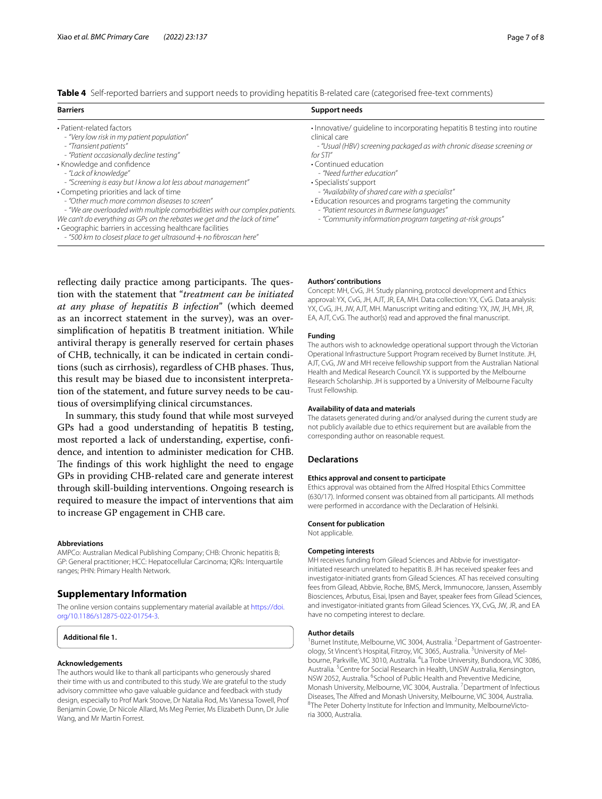<span id="page-6-1"></span>

|  |  |  |  | Table 4 Self-reported barriers and support needs to providing hepatitis B-related care (categorised free-text comments) |  |
|--|--|--|--|-------------------------------------------------------------------------------------------------------------------------|--|
|--|--|--|--|-------------------------------------------------------------------------------------------------------------------------|--|

| <b>Barriers</b>                                                                                                                                                                                                                                                                                                                                                                                                                                                                                                                                                                                                                                               | Support needs                                                                                                                                                                                                                                                                                                                                                                                                                                                                                    |
|---------------------------------------------------------------------------------------------------------------------------------------------------------------------------------------------------------------------------------------------------------------------------------------------------------------------------------------------------------------------------------------------------------------------------------------------------------------------------------------------------------------------------------------------------------------------------------------------------------------------------------------------------------------|--------------------------------------------------------------------------------------------------------------------------------------------------------------------------------------------------------------------------------------------------------------------------------------------------------------------------------------------------------------------------------------------------------------------------------------------------------------------------------------------------|
| · Patient-related factors<br>- "Very low risk in my patient population"<br>- "Transient patients"<br>- "Patient occasionally decline testing"<br>• Knowledge and confidence<br>- "Lack of knowledge"<br>- "Screening is easy but I know a lot less about management"<br>• Competing priorities and lack of time<br>- "Other much more common diseases to screen"<br>- "We are overloaded with multiple comorbidities with our complex patients.<br>We can't do everything as GPs on the rebates we get and the lack of time"<br>· Geographic barriers in accessing healthcare facilities<br>- "500 km to closest place to get ultrasound + no fibroscan here" | . Innovative/ quideline to incorporating hepatitis B testing into routine<br>clinical care<br>- "Usual (HBV) screening packaged as with chronic disease screening or<br>for STI"<br>• Continued education<br>- "Need further education"<br>• Specialists' support<br>- "Availability of shared care with a specialist"<br>• Education resources and programs targeting the community<br>- "Patient resources in Burmese languages"<br>- "Community information program targeting at-risk groups" |

reflecting daily practice among participants. The question with the statement that "*treatment can be initiated at any phase of hepatitis B infection*" (which deemed as an incorrect statement in the survey), was an oversimplifcation of hepatitis B treatment initiation. While antiviral therapy is generally reserved for certain phases of CHB, technically, it can be indicated in certain conditions (such as cirrhosis), regardless of CHB phases. Tus, this result may be biased due to inconsistent interpretation of the statement, and future survey needs to be cautious of oversimplifying clinical circumstances.

In summary, this study found that while most surveyed GPs had a good understanding of hepatitis B testing, most reported a lack of understanding, expertise, confdence, and intention to administer medication for CHB. The findings of this work highlight the need to engage GPs in providing CHB-related care and generate interest through skill-building interventions. Ongoing research is required to measure the impact of interventions that aim to increase GP engagement in CHB care.

#### **Abbreviations**

AMPCo: Australian Medical Publishing Company; CHB: Chronic hepatitis B; GP: General practitioner; HCC: Hepatocellular Carcinoma; IQRs: Interquartile ranges; PHN: Primary Health Network.

# **Supplementary Information**

The online version contains supplementary material available at [https://doi.](https://doi.org/10.1186/s12875-022-01754-3) [org/10.1186/s12875-022-01754-3](https://doi.org/10.1186/s12875-022-01754-3).

<span id="page-6-0"></span>**Additional fle 1.**

#### **Acknowledgements**

The authors would like to thank all participants who generously shared their time with us and contributed to this study. We are grateful to the study advisory committee who gave valuable guidance and feedback with study design, especially to Prof Mark Stoove, Dr Natalia Rod, Ms Vanessa Towell, Prof Benjamin Cowie, Dr Nicole Allard, Ms Meg Perrier, Ms Elizabeth Dunn, Dr Julie Wang, and Mr Martin Forrest.

#### **Authors' contributions**

Concept: MH, CvG, JH. Study planning, protocol development and Ethics approval: YX, CvG, JH, AJT, JR, EA, MH. Data collection: YX, CvG. Data analysis: YX, CvG, JH, JW, AJT, MH. Manuscript writing and editing: YX, JW, JH, MH, JR, EA, AJT, CvG. The author(s) read and approved the fnal manuscript.

#### **Funding**

The authors wish to acknowledge operational support through the Victorian Operational Infrastructure Support Program received by Burnet Institute. JH, AJT, CvG, JW and MH receive fellowship support from the Australian National Health and Medical Research Council. YX is supported by the Melbourne Research Scholarship. JH is supported by a University of Melbourne Faculty Trust Fellowship.

#### **Availability of data and materials**

The datasets generated during and/or analysed during the current study are not publicly available due to ethics requirement but are available from the corresponding author on reasonable request.

#### **Declarations**

#### **Ethics approval and consent to participate**

Ethics approval was obtained from the Alfred Hospital Ethics Committee (630/17). Informed consent was obtained from all participants. All methods were performed in accordance with the Declaration of Helsinki.

#### **Consent for publication**

Not applicable.

#### **Competing interests**

MH receives funding from Gilead Sciences and Abbvie for investigatorinitiated research unrelated to hepatitis B. JH has received speaker fees and investigator-initiated grants from Gilead Sciences. AT has received consulting fees from Gilead, Abbvie, Roche, BMS, Merck, Immunocore, Janssen, Assembly Biosciences, Arbutus, Eisai, Ipsen and Bayer, speaker fees from Gilead Sciences, and investigator-initiated grants from Gilead Sciences. YX, CvG, JW, JR, and EA have no competing interest to declare.

## **Author details**

<sup>1</sup> Burnet Institute, Melbourne, VIC 3004, Australia. <sup>2</sup> Department of Gastroenterology, St Vincent's Hospital, Fitzroy, VIC 3065, Australia. <sup>3</sup> University of Melbourne, Parkville, VIC 3010, Australia. <sup>4</sup> La Trobe University, Bundoora, VIC 3086, Australia.<sup>5</sup> Centre for Social Research in Health, UNSW Australia, Kensington, NSW 2052, Australia. <sup>6</sup>School of Public Health and Preventive Medicine, Monash University, Melbourne, VIC 3004, Australia.<sup>7</sup> Department of Infectious Diseases, The Alfred and Monash University, Melbourne, VIC 3004, Australia. 8 <sup>8</sup>The Peter Doherty Institute for Infection and Immunity, MelbourneVictoria 3000, Australia.